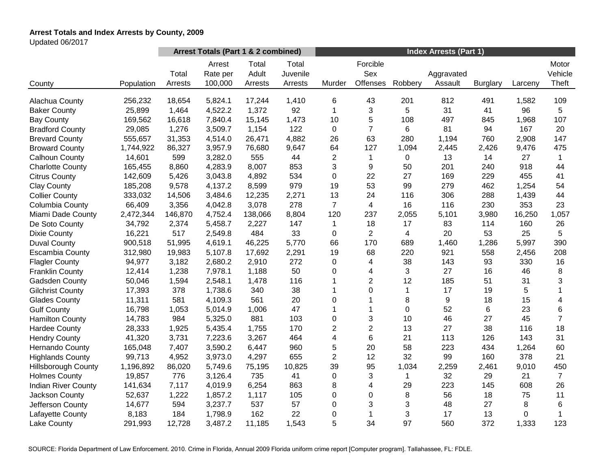# **Arrest Totals and Index Arrests by County, 2009**

Updated 06/2017

|                            |            | Arrest Totals (Part 1 & 2 combined) |                               |                           |                              | <b>Index Arrests (Part 1)</b> |                             |         |                       |                 |         |                           |
|----------------------------|------------|-------------------------------------|-------------------------------|---------------------------|------------------------------|-------------------------------|-----------------------------|---------|-----------------------|-----------------|---------|---------------------------|
| County                     | Population | Total<br>Arrests                    | Arrest<br>Rate per<br>100,000 | Total<br>Adult<br>Arrests | Total<br>Juvenile<br>Arrests | Murder                        | Forcible<br>Sex<br>Offenses | Robbery | Aggravated<br>Assault | <b>Burglary</b> | Larceny | Motor<br>Vehicle<br>Theft |
| Alachua County             | 256,232    | 18,654                              | 5,824.1                       | 17,244                    | 1,410                        | 6                             | 43                          | 201     | 812                   | 491             | 1,582   | 109                       |
| <b>Baker County</b>        | 25,899     | 1,464                               | 4,522.2                       | 1,372                     | 92                           | 1                             | 3                           | 5       | 31                    | 41              | 96      | 5                         |
| <b>Bay County</b>          | 169,562    | 16,618                              | 7,840.4                       | 15,145                    | 1,473                        | 10                            | 5                           | 108     | 497                   | 845             | 1,968   | 107                       |
| <b>Bradford County</b>     | 29,085     | 1,276                               | 3,509.7                       | 1,154                     | 122                          | 0                             | $\overline{7}$              | 6       | 81                    | 94              | 167     | 20                        |
| <b>Brevard County</b>      | 555,657    | 31,353                              | 4,514.0                       | 26,471                    | 4,882                        | 26                            | 63                          | 280     | 1,194                 | 760             | 2,908   | 147                       |
| <b>Broward County</b>      | 1,744,922  | 86,327                              | 3,957.9                       | 76,680                    | 9,647                        | 64                            | 127                         | 1,094   | 2,445                 | 2,426           | 9,476   | 475                       |
| <b>Calhoun County</b>      | 14,601     | 599                                 | 3,282.0                       | 555                       | 44                           | $\mathbf{2}$                  | $\mathbf 1$                 | 0       | 13                    | 14              | 27      | $\mathbf{1}$              |
| <b>Charlotte County</b>    | 165,455    | 8,860                               | 4,283.9                       | 8,007                     | 853                          | 3                             | 9                           | 50      | 201                   | 240             | 918     | 44                        |
| <b>Citrus County</b>       | 142,609    | 5,426                               | 3,043.8                       | 4,892                     | 534                          | $\mathbf 0$                   | 22                          | 27      | 169                   | 229             | 455     | 41                        |
| <b>Clay County</b>         | 185,208    | 9,578                               | 4,137.2                       | 8,599                     | 979                          | 19                            | 53                          | 99      | 279                   | 462             | 1,254   | 54                        |
| <b>Collier County</b>      | 333,032    | 14,506                              | 3,484.6                       | 12,235                    | 2,271                        | 13                            | 24                          | 116     | 306                   | 288             | 1,439   | 44                        |
| Columbia County            | 66,409     | 3,356                               | 4,042.8                       | 3,078                     | 278                          | $\overline{7}$                | $\overline{4}$              | 16      | 116                   | 230             | 353     | 23                        |
| Miami Dade County          | 2,472,344  | 146,870                             | 4,752.4                       | 138,066                   | 8,804                        | 120                           | 237                         | 2,055   | 5,101                 | 3,980           | 16,250  | 1,057                     |
| De Soto County             | 34,792     | 2,374                               | 5,458.7                       | 2,227                     | 147                          | $\mathbf 1$                   | 18                          | 17      | 83                    | 114             | 160     | 26                        |
| <b>Dixie County</b>        | 16,221     | 517                                 | 2,549.8                       | 484                       | 33                           | $\mathbf 0$                   | $\overline{2}$              | 4       | 20                    | 53              | 25      | 5                         |
| <b>Duval County</b>        | 900,518    | 51,995                              | 4,619.1                       | 46,225                    | 5,770                        | 66                            | 170                         | 689     | 1,460                 | 1,286           | 5,997   | 390                       |
| <b>Escambia County</b>     | 312,980    | 19,983                              | 5,107.8                       | 17,692                    | 2,291                        | 19                            | 68                          | 220     | 921                   | 558             | 2,456   | 208                       |
| <b>Flagler County</b>      | 94,977     | 3,182                               | 2,680.2                       | 2,910                     | 272                          | 0                             | 4                           | 38      | 143                   | 93              | 330     | 16                        |
| <b>Franklin County</b>     | 12,414     | 1,238                               | 7,978.1                       | 1,188                     | 50                           | 0                             | 4                           | 3       | 27                    | 16              | 46      | 8                         |
| Gadsden County             | 50,046     | 1,594                               | 2,548.1                       | 1,478                     | 116                          | 1                             | $\overline{c}$              | 12      | 185                   | 51              | 31      | 3                         |
| <b>Gilchrist County</b>    | 17,393     | 378                                 | 1,738.6                       | 340                       | 38                           | 1                             | 0                           | 1       | 17                    | 19              | 5       | 1                         |
| <b>Glades County</b>       | 11,311     | 581                                 | 4,109.3                       | 561                       | 20                           | $\mathbf 0$                   | 1                           | 8       | 9                     | 18              | 15      | 4                         |
| <b>Gulf County</b>         | 16,798     | 1,053                               | 5,014.9                       | 1,006                     | 47                           |                               | 1                           | 0       | 52                    | 6               | 23      | 6                         |
| <b>Hamilton County</b>     | 14,783     | 984                                 | 5,325.0                       | 881                       | 103                          | $\mathbf 0$                   | 3                           | 10      | 46                    | 27              | 45      | $\overline{7}$            |
| <b>Hardee County</b>       | 28,333     | 1,925                               | 5,435.4                       | 1,755                     | 170                          | $\overline{2}$                | $\overline{2}$              | 13      | 27                    | 38              | 116     | 18                        |
| <b>Hendry County</b>       | 41,320     | 3,731                               | 7,223.6                       | 3,267                     | 464                          | $\overline{\mathbf{4}}$       | 6                           | 21      | 113                   | 126             | 143     | 31                        |
| Hernando County            | 165,048    | 7,407                               | 3,590.2                       | 6,447                     | 960                          | 5                             | 20                          | 58      | 223                   | 434             | 1,264   | 60                        |
| <b>Highlands County</b>    | 99,713     | 4,952                               | 3,973.0                       | 4,297                     | 655                          | $\overline{2}$                | 12                          | 32      | 99                    | 160             | 378     | 21                        |
| <b>Hillsborough County</b> | 1,196,892  | 86,020                              | 5,749.6                       | 75,195                    | 10,825                       | 39                            | 95                          | 1,034   | 2,259                 | 2,461           | 9,010   | 450                       |
| <b>Holmes County</b>       | 19,857     | 776                                 | 3,126.4                       | 735                       | 41                           | $\mathbf 0$                   | 3                           |         | 32                    | 29              | 21      | $\overline{7}$            |
| <b>Indian River County</b> | 141,634    | 7,117                               | 4,019.9                       | 6,254                     | 863                          | 8                             | $\overline{4}$              | 29      | 223                   | 145             | 608     | 26                        |
| Jackson County             | 52,637     | 1,222                               | 1,857.2                       | 1,117                     | 105                          | $\Omega$                      | $\Omega$                    | 8       | 56                    | 18              | 75      | 11                        |
| Jefferson County           | 14,677     | 594                                 | 3,237.7                       | 537                       | 57                           | 0                             | 3                           | 3       | 48                    | 27              | 8       | $\,6\,$                   |
| Lafayette County           | 8,183      | 184                                 | 1,798.9                       | 162                       | 22                           | $\boldsymbol{0}$              | $\mathbf{1}$                | 3       | 17                    | 13              | 0       | 1                         |
| Lake County                | 291,993    | 12,728                              | 3,487.2                       | 11,185                    | 1,543                        | 5                             | 34                          | 97      | 560                   | 372             | 1,333   | 123                       |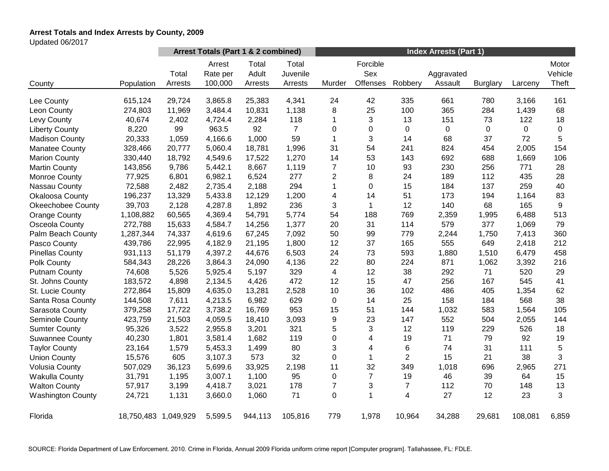# **Arrest Totals and Index Arrests by County, 2009**

Updated 06/2017

|                          |                      | Arrest Totals (Part 1 & 2 combined) |                               |                           |                              | <b>Index Arrests (Part 1)</b> |                             |                |                       |                 |         |                           |
|--------------------------|----------------------|-------------------------------------|-------------------------------|---------------------------|------------------------------|-------------------------------|-----------------------------|----------------|-----------------------|-----------------|---------|---------------------------|
| County                   | Population           | Total<br>Arrests                    | Arrest<br>Rate per<br>100,000 | Total<br>Adult<br>Arrests | Total<br>Juvenile<br>Arrests | Murder                        | Forcible<br>Sex<br>Offenses | Robbery        | Aggravated<br>Assault | <b>Burglary</b> | Larceny | Motor<br>Vehicle<br>Theft |
| Lee County               | 615,124              | 29,724                              | 3,865.8                       | 25,383                    | 4,341                        | 24                            | 42                          | 335            | 661                   | 780             | 3,166   | 161                       |
| Leon County              | 274,803              | 11,969                              | 3,484.4                       | 10,831                    | 1,138                        | 8                             | 25                          | 100            | 365                   | 284             | 1,439   | 68                        |
| Levy County              | 40,674               | 2,402                               | 4,724.4                       | 2,284                     | 118                          | 1                             | 3                           | 13             | 151                   | 73              | 122     | 18                        |
| <b>Liberty County</b>    | 8,220                | 99                                  | 963.5                         | 92                        | $\overline{7}$               | 0                             | 0                           | $\pmb{0}$      | $\pmb{0}$             | 0               | 0       | 0                         |
| <b>Madison County</b>    | 20,333               | 1,059                               | 4,166.6                       | 1,000                     | 59                           | 1                             | 3                           | 14             | 68                    | 37              | 72      | 5                         |
| <b>Manatee County</b>    | 328,466              | 20,777                              | 5,060.4                       | 18,781                    | 1,996                        | 31                            | 54                          | 241            | 824                   | 454             | 2,005   | 154                       |
| <b>Marion County</b>     | 330,440              | 18,792                              | 4,549.6                       | 17,522                    | 1,270                        | 14                            | 53                          | 143            | 692                   | 688             | 1,669   | 106                       |
| <b>Martin County</b>     | 143,856              | 9,786                               | 5,442.1                       | 8,667                     | 1,119                        | $\overline{7}$                | 10                          | 93             | 230                   | 256             | 771     | 28                        |
| Monroe County            | 77,925               | 6,801                               | 6,982.1                       | 6,524                     | 277                          | $\overline{c}$                | 8                           | 24             | 189                   | 112             | 435     | 28                        |
| Nassau County            | 72,588               | 2,482                               | 2,735.4                       | 2,188                     | 294                          | 1                             | 0                           | 15             | 184                   | 137             | 259     | 40                        |
| Okaloosa County          | 196,237              | 13,329                              | 5,433.8                       | 12,129                    | 1,200                        | 4                             | 14                          | 51             | 173                   | 194             | 1,164   | 83                        |
| <b>Okeechobee County</b> | 39,703               | 2,128                               | 4,287.8                       | 1,892                     | 236                          | 3                             | $\mathbf{1}$                | 12             | 140                   | 68              | 165     | 9                         |
| <b>Orange County</b>     | 1,108,882            | 60,565                              | 4,369.4                       | 54,791                    | 5,774                        | 54                            | 188                         | 769            | 2,359                 | 1,995           | 6,488   | 513                       |
| Osceola County           | 272,788              | 15,633                              | 4,584.7                       | 14,256                    | 1,377                        | 20                            | 31                          | 114            | 579                   | 377             | 1,069   | 79                        |
| Palm Beach County        | 1,287,344            | 74,337                              | 4,619.6                       | 67,245                    | 7,092                        | 50                            | 99                          | 779            | 2,244                 | 1,750           | 7,413   | 360                       |
| Pasco County             | 439,786              | 22,995                              | 4,182.9                       | 21,195                    | 1,800                        | 12                            | 37                          | 165            | 555                   | 649             | 2,418   | 212                       |
| <b>Pinellas County</b>   | 931,113              | 51,179                              | 4,397.2                       | 44,676                    | 6,503                        | 24                            | 73                          | 593            | 1,880                 | 1,510           | 6,479   | 458                       |
| Polk County              | 584,343              | 28,226                              | 3,864.3                       | 24,090                    | 4,136                        | 22                            | 80                          | 224            | 871                   | 1,062           | 3,392   | 216                       |
| <b>Putnam County</b>     | 74,608               | 5,526                               | 5,925.4                       | 5,197                     | 329                          | 4                             | 12                          | 38             | 292                   | 71              | 520     | 29                        |
| St. Johns County         | 183,572              | 4,898                               | 2,134.5                       | 4,426                     | 472                          | 12                            | 15                          | 47             | 256                   | 167             | 545     | 41                        |
| St. Lucie County         | 272,864              | 15,809                              | 4,635.0                       | 13,281                    | 2,528                        | 10                            | 36                          | 102            | 486                   | 405             | 1,354   | 62                        |
| Santa Rosa County        | 144,508              | 7,611                               | 4,213.5                       | 6,982                     | 629                          | $\mathbf 0$                   | 14                          | 25             | 158                   | 184             | 568     | 38                        |
| Sarasota County          | 379,258              | 17,722                              | 3,738.2                       | 16,769                    | 953                          | 15                            | 51                          | 144            | 1,032                 | 583             | 1,564   | 105                       |
| Seminole County          | 423,759              | 21,503                              | 4,059.5                       | 18,410                    | 3,093                        | 9                             | 23                          | 147            | 552                   | 504             | 2,055   | 144                       |
| <b>Sumter County</b>     | 95,326               | 3,522                               | 2,955.8                       | 3,201                     | 321                          | 5                             | 3                           | 12             | 119                   | 229             | 526     | 18                        |
| <b>Suwannee County</b>   | 40,230               | 1,801                               | 3,581.4                       | 1,682                     | 119                          | 0                             | $\overline{\mathbf{4}}$     | 19             | 71                    | 79              | 92      | 19                        |
| <b>Taylor County</b>     | 23,164               | 1,579                               | 5,453.3                       | 1,499                     | 80                           | 3                             | 4                           | 6              | 74                    | 31              | 111     | 5                         |
| <b>Union County</b>      | 15,576               | 605                                 | 3,107.3                       | 573                       | 32                           | 0                             | $\mathbf 1$                 | $\overline{c}$ | 15                    | 21              | 38      | 3                         |
| <b>Volusia County</b>    | 507,029              | 36,123                              | 5,699.6                       | 33,925                    | 2,198                        | 11                            | 32                          | 349            | 1,018                 | 696             | 2,965   | 271                       |
| <b>Wakulla County</b>    | 31,791               | 1,195                               | 3,007.1                       | 1,100                     | 95                           | 0                             | $\overline{7}$              | 19             | 46                    | 39              | 64      | 15                        |
| <b>Walton County</b>     | 57,917               | 3,199                               | 4,418.7                       | 3,021                     | 178                          | $\overline{7}$                | 3                           | $\overline{7}$ | 112                   | 70              | 148     | 13                        |
| <b>Washington County</b> | 24,721               | 1,131                               | 3,660.0                       | 1,060                     | 71                           | 0                             | $\mathbf 1$                 | 4              | 27                    | 12              | 23      | 3                         |
| Florida                  | 18,750,483 1,049,929 |                                     | 5,599.5                       | 944,113                   | 105,816                      | 779                           | 1,978                       | 10,964         | 34,288                | 29,681          | 108,081 | 6,859                     |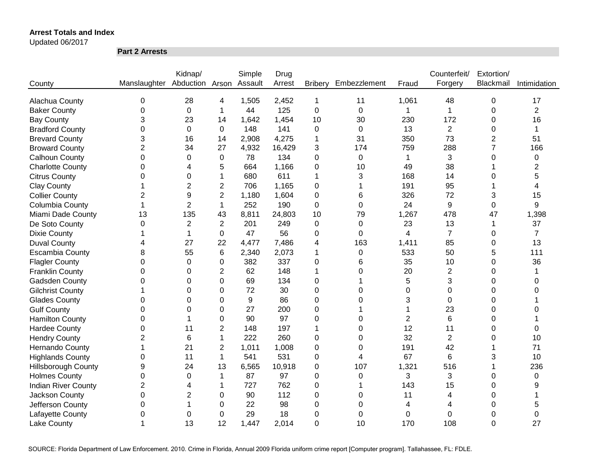Updated 06/2017

**Part 2 Arrests**

|                            |                              | Kidnap/        |                | Simple  | Drug   |                |              |                | Counterfeit/   | Extortion/     |                |
|----------------------------|------------------------------|----------------|----------------|---------|--------|----------------|--------------|----------------|----------------|----------------|----------------|
| County                     | Manslaughter Abduction Arson |                |                | Assault | Arrest | <b>Bribery</b> | Embezzlement | Fraud          | Forgery        | Blackmail      | Intimidation   |
|                            |                              |                |                |         |        |                |              |                |                |                |                |
| Alachua County             | 0                            | 28             | 4              | 1,505   | 2,452  | 1              | 11           | 1,061          | 48             | 0              | 17             |
| <b>Baker County</b>        | 0                            | $\mathbf 0$    | 1              | 44      | 125    | 0              | $\mathbf 0$  | 1              | $\mathbf{1}$   | 0              | $\overline{2}$ |
| <b>Bay County</b>          | 3                            | 23             | 14             | 1,642   | 1,454  | 10             | 30           | 230            | 172            | 0              | 16             |
| <b>Bradford County</b>     | 0                            | $\mathbf 0$    | 0              | 148     | 141    | 0              | $\mathbf 0$  | 13             | $\overline{2}$ | 0              | 1              |
| <b>Brevard County</b>      | 3                            | 16             | 14             | 2,908   | 4,275  | 1              | 31           | 350            | 73             | $\overline{2}$ | 51             |
| <b>Broward County</b>      | $\overline{2}$               | 34             | 27             | 4,932   | 16,429 | 3              | 174          | 759            | 288            | 7              | 166            |
| <b>Calhoun County</b>      | 0                            | 0              | 0              | 78      | 134    | 0              | 0            | 1              | 3              | 0              | 0              |
| <b>Charlotte County</b>    | 0                            | 4              | 5              | 664     | 1,166  | 0              | 10           | 49             | 38             |                | $\overline{2}$ |
| <b>Citrus County</b>       | 0                            | 0              | 1              | 680     | 611    | 1              | 3            | 168            | 14             | 0              | 5              |
| <b>Clay County</b>         | 1                            | $\overline{2}$ | $\overline{2}$ | 706     | 1,165  | 0              |              | 191            | 95             |                | 4              |
| <b>Collier County</b>      | $\overline{2}$               | 9              | $\overline{2}$ | 1,180   | 1,604  | 0              | 6            | 326            | 72             | 3              | 15             |
| Columbia County            |                              | $\overline{2}$ | 1              | 252     | 190    | 0              | 0            | 24             | 9              | 0              | 9              |
| Miami Dade County          | 13                           | 135            | 43             | 8,811   | 24,803 | 10             | 79           | 1,267          | 478            | 47             | 1,398          |
| De Soto County             | $\Omega$                     | $\overline{2}$ | $\overline{2}$ | 201     | 249    | 0              | $\Omega$     | 23             | 13             | 1              | 37             |
| <b>Dixie County</b>        |                              | 1              | 0              | 47      | 56     | 0              | $\Omega$     | 4              | $\overline{7}$ | 0              | 7              |
| <b>Duval County</b>        | 4                            | 27             | 22             | 4,477   | 7,486  | 4              | 163          | 1,411          | 85             | 0              | 13             |
| <b>Escambia County</b>     | 8                            | 55             | 6              | 2,340   | 2,073  | 1              | 0            | 533            | 50             | 5              | 111            |
| <b>Flagler County</b>      | 0                            | $\Omega$       | 0              | 382     | 337    | 0              | 6            | 35             | 10             | 0              | 36             |
| <b>Franklin County</b>     | $\Omega$                     | $\Omega$       | $\overline{2}$ | 62      | 148    | 1              | $\Omega$     | 20             | $\overline{2}$ | 0              |                |
| Gadsden County             | 0                            | $\Omega$       | 0              | 69      | 134    | 0              |              | 5              | 3              | 0              | 0              |
| <b>Gilchrist County</b>    |                              | $\Omega$       | $\Omega$       | 72      | 30     | 0              | $\Omega$     | 0              | 0              | 0              | 0              |
| <b>Glades County</b>       | 0                            | $\Omega$       | $\Omega$       | 9       | 86     | 0              | $\Omega$     | 3              | $\Omega$       | 0              |                |
| <b>Gulf County</b>         | 0                            | 0              | 0              | 27      | 200    | 0              |              |                | 23             | 0              | O              |
| <b>Hamilton County</b>     | 0                            |                | 0              | 90      | 97     | 0              | $\Omega$     | $\overline{2}$ | 6              | 0              |                |
| <b>Hardee County</b>       | $\mathbf 0$                  | 11             | 2              | 148     | 197    | 1              | 0            | 12             | 11             | 0              | 0              |
| <b>Hendry County</b>       | $\overline{2}$               | 6              | 1              | 222     | 260    | 0              | 0            | 32             | $\overline{2}$ | 0              | 10             |
| <b>Hernando County</b>     | 1                            | 21             | $\overline{c}$ | 1,011   | 1,008  | 0              | 0            | 191            | 42             |                | 71             |
| <b>Highlands County</b>    | 0                            | 11             | 1              | 541     | 531    | 0              | 4            | 67             | 6              | 3              | 10             |
| <b>Hillsborough County</b> | 9                            | 24             | 13             | 6,565   | 10,918 | 0              | 107          | 1,321          | 516            |                | 236            |
| <b>Holmes County</b>       | 0                            | 0              | 1              | 87      | 97     | 0              | 0            | 3              | 3              | 0              | 0              |
| <b>Indian River County</b> | $\overline{c}$               | 4              | 1              | 727     | 762    | 0              | -1           | 143            | 15             | 0              | 9              |
| Jackson County             | $\boldsymbol{0}$             | $\overline{2}$ | 0              | 90      | 112    | 0              | 0            | 11             | 4              | 0              |                |
| Jefferson County           | 0                            |                | 0              | 22      | 98     | 0              | 0            | 4              | 4              | 0              | 5              |
| Lafayette County           | 0                            | 0              | 0              | 29      | 18     | 0              | 0            | 0              | $\mathbf 0$    | 0              | 0              |
| <b>Lake County</b>         |                              | 13             | 12             | 1,447   | 2,014  | 0              | 10           | 170            | 108            | 0              | 27             |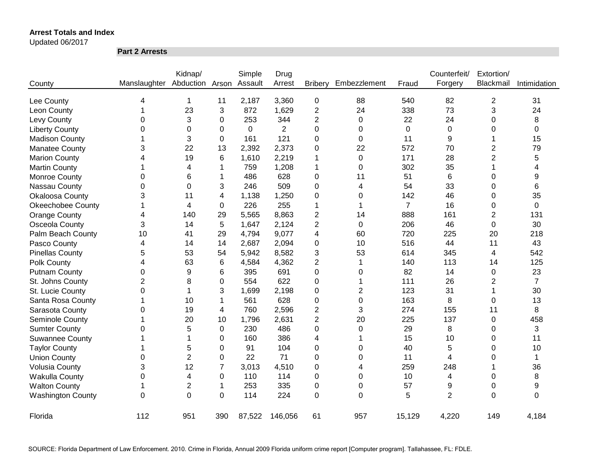Updated 06/2017

**Part 2 Arrests**

|                          |                | Kidnap/         |                | Simple  | Drug           |                |                  |                | Counterfeit/   | Extortion/       |                |
|--------------------------|----------------|-----------------|----------------|---------|----------------|----------------|------------------|----------------|----------------|------------------|----------------|
| County                   | Manslaughter   | Abduction Arson |                | Assault | Arrest         | <b>Bribery</b> | Embezzlement     | Fraud          | Forgery        | Blackmail        | Intimidation   |
| Lee County               | 4              | 1               | 11             | 2,187   | 3,360          | $\pmb{0}$      | 88               | 540            | 82             | $\overline{2}$   | 31             |
| Leon County              | 1              | 23              | 3              | 872     | 1,629          | $\overline{c}$ | 24               | 338            | 73             | 3                | 24             |
| Levy County              | 0              | 3               | 0              | 253     | 344            | $\overline{c}$ | $\boldsymbol{0}$ | 22             | 24             | 0                | 8              |
| <b>Liberty County</b>    | 0              | 0               | 0              | 0       | $\overline{2}$ | 0              | 0                | 0              | 0              | 0                | $\Omega$       |
| <b>Madison County</b>    | 1              | 3               | 0              | 161     | 121            | $\mathbf 0$    | 0                | 11             | 9              |                  | 15             |
| <b>Manatee County</b>    | 3              | 22              | 13             | 2,392   | 2,373          | 0              | 22               | 572            | 70             | 2                | 79             |
| <b>Marion County</b>     | 4              | 19              | 6              | 1,610   | 2,219          | 1              | $\boldsymbol{0}$ | 171            | 28             | $\overline{c}$   | 5              |
| <b>Martin County</b>     | 1              | 4               | 1              | 759     | 1,208          | 1              | $\boldsymbol{0}$ | 302            | 35             |                  | 4              |
| Monroe County            | 0              | 6               | 1              | 486     | 628            | $\mathbf 0$    | 11               | 51             | 6              | 0                | 9              |
| Nassau County            | 0              | 0               | 3              | 246     | 509            | $\mathbf 0$    | 4                | 54             | 33             | 0                | 6              |
| <b>Okaloosa County</b>   | 3              | 11              | 4              | 1,138   | 1,250          | 0              | 0                | 142            | 46             | 0                | 35             |
| <b>Okeechobee County</b> | 1              | 4               | 0              | 226     | 255            | 1              | 1                | $\overline{7}$ | 16             | 0                | 0              |
| <b>Orange County</b>     | 4              | 140             | 29             | 5,565   | 8,863          | 2              | 14               | 888            | 161            | $\overline{2}$   | 131            |
| Osceola County           | 3              | 14              | 5              | 1,647   | 2,124          | $\overline{2}$ | $\mathbf 0$      | 206            | 46             | $\mathbf 0$      | 30             |
| Palm Beach County        | 10             | 41              | 29             | 4,794   | 9,077          | 4              | 60               | 720            | 225            | 20               | 218            |
| Pasco County             | 4              | 14              | 14             | 2,687   | 2,094          | 0              | 10               | 516            | 44             | 11               | 43             |
| <b>Pinellas County</b>   | 5              | 53              | 54             | 5,942   | 8,582          | 3              | 53               | 614            | 345            | 4                | 542            |
| Polk County              | 4              | 63              | 6              | 4,584   | 4,362          | $\overline{c}$ | 1                | 140            | 113            | 14               | 125            |
| <b>Putnam County</b>     | 0              | 9               | 6              | 395     | 691            | 0              | 0                | 82             | 14             | 0                | 23             |
| St. Johns County         | $\overline{2}$ | 8               | 0              | 554     | 622            | 0              | 1                | 111            | 26             | 2                | $\overline{7}$ |
| St. Lucie County         | $\mathbf 0$    | 1               | 3              | 1,699   | 2,198          | 0              | $\overline{2}$   | 123            | 31             | 1                | 30             |
| Santa Rosa County        | 1              | 10              | 1              | 561     | 628            | 0              | 0                | 163            | 8              | 0                | 13             |
| Sarasota County          | 0              | 19              | 4              | 760     | 2,596          | 2              | 3                | 274            | 155            | 11               | 8              |
| Seminole County          |                | 20              | 10             | 1,796   | 2,631          | 2              | 20               | 225            | 137            | $\boldsymbol{0}$ | 458            |
| <b>Sumter County</b>     | 0              | 5               | $\mathbf{0}$   | 230     | 486            | 0              | $\Omega$         | 29             | 8              | 0                | 3              |
| <b>Suwannee County</b>   |                | 1               | 0              | 160     | 386            | 4              |                  | 15             | 10             | 0                | 11             |
| <b>Taylor County</b>     |                | 5               | 0              | 91      | 104            | 0              | $\Omega$         | 40             | 5              | 0                | 10             |
| <b>Union County</b>      | 0              | $\overline{2}$  | $\Omega$       | 22      | 71             | 0              | $\Omega$         | 11             | $\overline{4}$ | 0                | 1              |
| <b>Volusia County</b>    | 3              | 12              | $\overline{7}$ | 3,013   | 4,510          | 0              | 4                | 259            | 248            |                  | 36             |
| <b>Wakulla County</b>    | 0              | 4               | 0              | 110     | 114            | 0              | 0                | 10             | 4              | 0                | 8              |
| <b>Walton County</b>     | 1              | $\overline{c}$  | 1              | 253     | 335            | 0              | $\Omega$         | 57             | 9              | 0                | 9              |
| <b>Washington County</b> | $\Omega$       | $\Omega$        | $\Omega$       | 114     | 224            | $\overline{0}$ | $\Omega$         | 5              | $\overline{2}$ | $\Omega$         | $\Omega$       |
| Florida                  | 112            | 951             | 390            | 87,522  | 146,056        | 61             | 957              | 15,129         | 4,220          | 149              | 4,184          |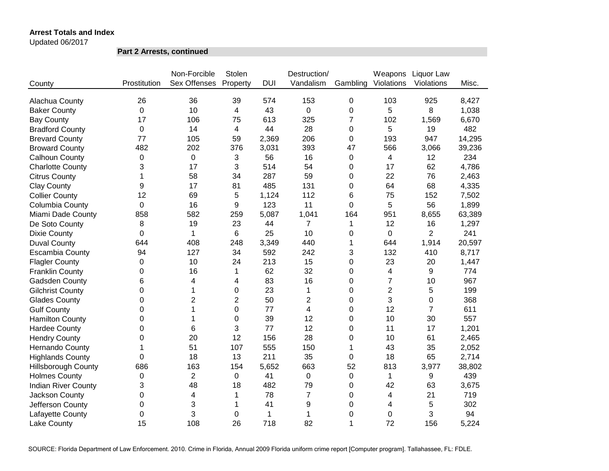Updated 06/2017

**Part 2 Arrests, continued**

|                            |                  | Non-Forcible   | Stolen         |            | Destruction/     |          | Weapons        | Liquor Law     |        |
|----------------------------|------------------|----------------|----------------|------------|------------------|----------|----------------|----------------|--------|
| County                     | Prostitution     | Sex Offenses   | Property       | <b>DUI</b> | Vandalism        | Gambling | Violations     | Violations     | Misc.  |
|                            |                  |                |                |            |                  |          |                |                |        |
| Alachua County             | 26               | 36             | 39             | 574        | 153              | 0        | 103            | 925            | 8,427  |
| <b>Baker County</b>        | $\mathbf 0$      | 10             | 4              | 43         | 0                | 0        | 5              | 8              | 1,038  |
| <b>Bay County</b>          | 17               | 106            | 75             | 613        | 325              | 7        | 102            | 1,569          | 6,670  |
| <b>Bradford County</b>     | 0                | 14             | 4              | 44         | 28               | 0        | 5              | 19             | 482    |
| <b>Brevard County</b>      | 77               | 105            | 59             | 2,369      | 206              | 0        | 193            | 947            | 14,295 |
| <b>Broward County</b>      | 482              | 202            | 376            | 3,031      | 393              | 47       | 566            | 3,066          | 39,236 |
| Calhoun County             | 0                | 0              | 3              | 56         | 16               | 0        | 4              | 12             | 234    |
| <b>Charlotte County</b>    | 3                | 17             | 3              | 514        | 54               | 0        | 17             | 62             | 4,786  |
| <b>Citrus County</b>       | 1                | 58             | 34             | 287        | 59               | 0        | 22             | 76             | 2,463  |
| <b>Clay County</b>         | 9                | 17             | 81             | 485        | 131              | 0        | 64             | 68             | 4,335  |
| <b>Collier County</b>      | 12               | 69             | 5              | 1,124      | 112              | 6        | 75             | 152            | 7,502  |
| Columbia County            | 0                | 16             | 9              | 123        | 11               | 0        | 5              | 56             | 1,899  |
| Miami Dade County          | 858              | 582            | 259            | 5,087      | 1,041            | 164      | 951            | 8,655          | 63,389 |
| De Soto County             | 8                | 19             | 23             | 44         | $\overline{7}$   | 1        | 12             | 16             | 1,297  |
| <b>Dixie County</b>        | 0                | 1              | 6              | 25         | 10               | 0        | 0              | $\overline{2}$ | 241    |
| <b>Duval County</b>        | 644              | 408            | 248            | 3,349      | 440              | 1        | 644            | 1,914          | 20,597 |
| <b>Escambia County</b>     | 94               | 127            | 34             | 592        | 242              | 3        | 132            | 410            | 8,717  |
| <b>Flagler County</b>      | 0                | 10             | 24             | 213        | 15               | 0        | 23             | 20             | 1,447  |
| <b>Franklin County</b>     | 0                | 16             | 1              | 62         | 32               | 0        | 4              | 9              | 774    |
| <b>Gadsden County</b>      | 6                | 4              | 4              | 83         | 16               | 0        | 7              | 10             | 967    |
| <b>Gilchrist County</b>    | 0                | 1              | 0              | 23         | $\mathbf{1}$     | 0        | $\overline{2}$ | 5              | 199    |
| <b>Glades County</b>       | 0                | $\overline{2}$ | $\overline{2}$ | 50         | $\overline{2}$   | 0        | 3              | $\mathbf 0$    | 368    |
| <b>Gulf County</b>         | 0                | 1              | 0              | 77         | 4                | 0        | 12             | $\overline{7}$ | 611    |
| <b>Hamilton County</b>     | 0                | 1              | 0              | 39         | 12               | 0        | 10             | 30             | 557    |
| <b>Hardee County</b>       | 0                | 6              | 3              | 77         | 12               | 0        | 11             | 17             | 1,201  |
| <b>Hendry County</b>       | 0                | 20             | 12             | 156        | 28               | 0        | 10             | 61             | 2,465  |
| Hernando County            | 1                | 51             | 107            | 555        | 150              | 1        | 43             | 35             | 2,052  |
| <b>Highlands County</b>    | 0                | 18             | 13             | 211        | 35               | 0        | 18             | 65             | 2,714  |
| <b>Hillsborough County</b> | 686              | 163            | 154            | 5,652      | 663              | 52       | 813            | 3,977          | 38,802 |
| <b>Holmes County</b>       | $\boldsymbol{0}$ | $\overline{2}$ | 0              | 41         | $\boldsymbol{0}$ | 0        | $\mathbf{1}$   | 9              | 439    |
| <b>Indian River County</b> | 3                | 48             | 18             | 482        | 79               | 0        | 42             | 63             | 3,675  |
| Jackson County             | 0                | 4              | 1              | 78         | $\overline{7}$   | 0        | 4              | 21             | 719    |
| Jefferson County           | 0                | 3              | 1              | 41         | 9                | 0        | 4              | 5              | 302    |
| Lafayette County           | 0                | 3              | 0              | 1          | $\mathbf{1}$     | 0        | 0              | 3              | 94     |
| <b>Lake County</b>         |                  |                |                |            |                  |          |                |                |        |